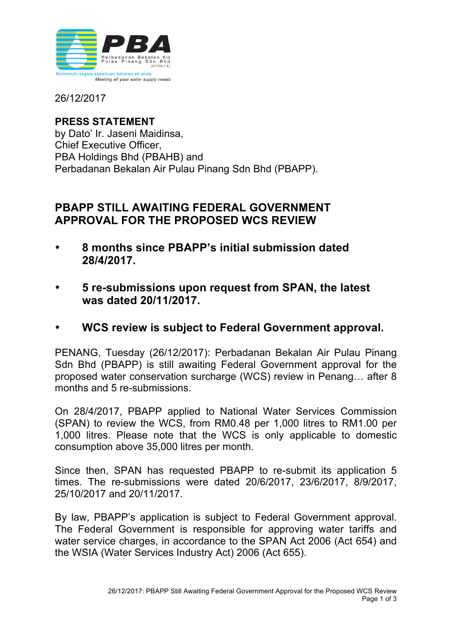

26/12/2017

**PRESS STATEMENT** by Dato' Ir. Jaseni Maidinsa, Chief Executive Officer, PBA Holdings Bhd (PBAHB) and Perbadanan Bekalan Air Pulau Pinang Sdn Bhd (PBAPP).

## **PBAPP STILL AWAITING FEDERAL GOVERNMENT APPROVAL FOR THE PROPOSED WCS REVIEW**

- **8 months since PBAPP's initial submission dated 28/4/2017.**
- **5 re-submissions upon request from SPAN, the latest was dated 20/11/2017.**
- **WCS review is subject to Federal Government approval.**

PENANG, Tuesday (26/12/2017): Perbadanan Bekalan Air Pulau Pinang Sdn Bhd (PBAPP) is still awaiting Federal Government approval for the proposed water conservation surcharge (WCS) review in Penang… after 8 months and 5 re-submissions.

On 28/4/2017, PBAPP applied to National Water Services Commission (SPAN) to review the WCS, from RM0.48 per 1,000 litres to RM1.00 per 1,000 litres. Please note that the WCS is only applicable to domestic consumption above 35,000 litres per month.

Since then, SPAN has requested PBAPP to re-submit its application 5 times. The re-submissions were dated 20/6/2017, 23/6/2017, 8/9/2017, 25/10/2017 and 20/11/2017.

By law, PBAPP's application is subject to Federal Government approval. The Federal Government is responsible for approving water tariffs and water service charges, in accordance to the SPAN Act 2006 (Act 654) and the WSIA (Water Services Industry Act) 2006 (Act 655).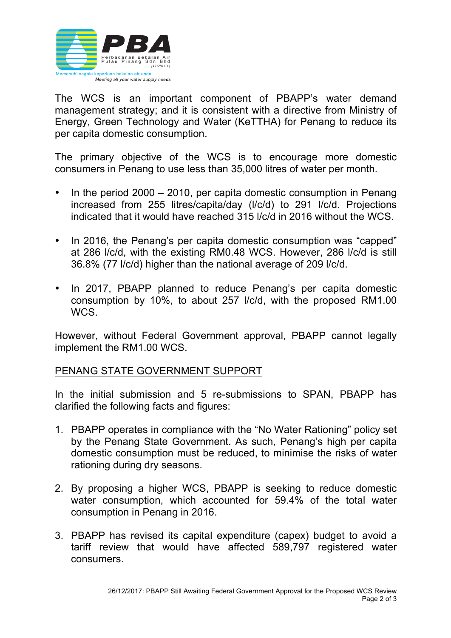

The WCS is an important component of PBAPP's water demand management strategy; and it is consistent with a directive from Ministry of Energy, Green Technology and Water (KeTTHA) for Penang to reduce its per capita domestic consumption.

The primary objective of the WCS is to encourage more domestic consumers in Penang to use less than 35,000 litres of water per month.

- In the period 2000 2010, per capita domestic consumption in Penang increased from 255 litres/capita/day (l/c/d) to 291 l/c/d. Projections indicated that it would have reached 315 l/c/d in 2016 without the WCS.
- In 2016, the Penang's per capita domestic consumption was "capped" at 286 l/c/d, with the existing RM0.48 WCS. However, 286 l/c/d is still 36.8% (77 l/c/d) higher than the national average of 209 l/c/d.
- In 2017, PBAPP planned to reduce Penang's per capita domestic consumption by 10%, to about 257 l/c/d, with the proposed RM1.00 WCS.

However, without Federal Government approval, PBAPP cannot legally implement the RM1.00 WCS.

## PENANG STATE GOVERNMENT SUPPORT

In the initial submission and 5 re-submissions to SPAN, PBAPP has clarified the following facts and figures:

- 1. PBAPP operates in compliance with the "No Water Rationing" policy set by the Penang State Government. As such, Penang's high per capita domestic consumption must be reduced, to minimise the risks of water rationing during dry seasons.
- 2. By proposing a higher WCS, PBAPP is seeking to reduce domestic water consumption, which accounted for 59.4% of the total water consumption in Penang in 2016.
- 3. PBAPP has revised its capital expenditure (capex) budget to avoid a tariff review that would have affected 589,797 registered water consumers.